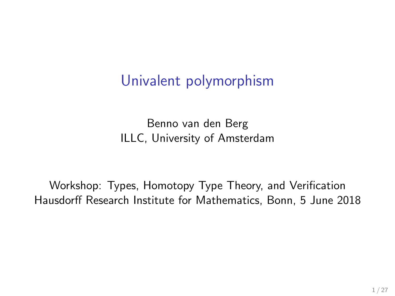## Univalent polymorphism

Benno van den Berg ILLC, University of Amsterdam

Workshop: Types, Homotopy Type Theory, and Verification Hausdorff Research Institute for Mathematics, Bonn, 5 June 2018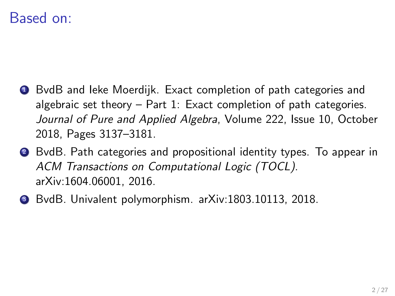## Based on:

- **1** BvdB and leke Moerdijk. Exact completion of path categories and algebraic set theory – Part 1: Exact completion of path categories. Journal of Pure and Applied Algebra, Volume 222, Issue 10, October 2018, Pages 3137–3181.
- <sup>2</sup> BvdB. Path categories and propositional identity types. To appear in ACM Transactions on Computational Logic (TOCL). arXiv:1604.06001, 2016.
- <sup>3</sup> BvdB. Univalent polymorphism. arXiv:1803.10113, 2018.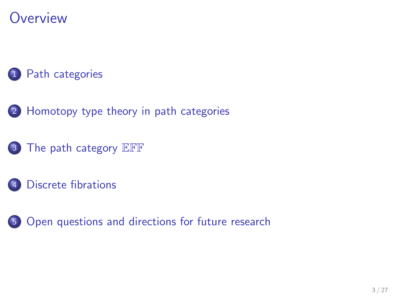## **Overview**

### [Path categories](#page-3-0)

- 2 [Homotopy type theory in path categories](#page-9-0)
- <sup>3</sup> [The path category](#page-14-0) EFF
- [Discrete fibrations](#page-18-0)
- 5 [Open questions and directions for future research](#page-23-0)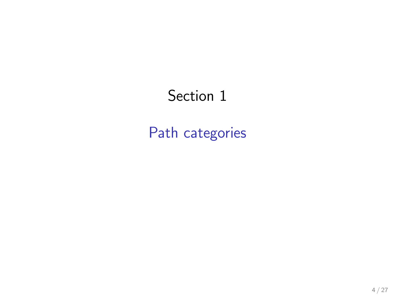# <span id="page-3-0"></span>Section 1

[Path categories](#page-3-0)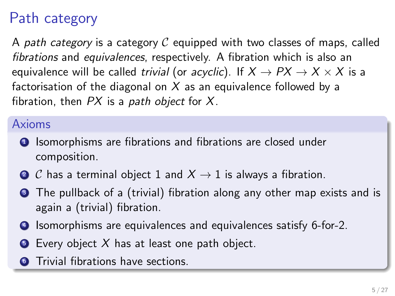# Path category

A path category is a category  $C$  equipped with two classes of maps. called fibrations and equivalences, respectively. A fibration which is also an equivalence will be called trivial (or acyclic). If  $X \to PX \to X \times X$  is a factorisation of the diagonal on  $X$  as an equivalence followed by a fibration, then  $PX$  is a path object for  $X$ .

### Axioms

- **1** Isomorphisms are fibrations and fibrations are closed under composition.
- 2 C has a terminal object 1 and  $X \rightarrow 1$  is always a fibration.
- **3** The pullback of a (trivial) fibration along any other map exists and is again a (trivial) fibration.
- **4** Isomorphisms are equivalences and equivalences satisfy 6-for-2.
- $\bullet$  Every object X has at least one path object.
- **6** Trivial fibrations have sections.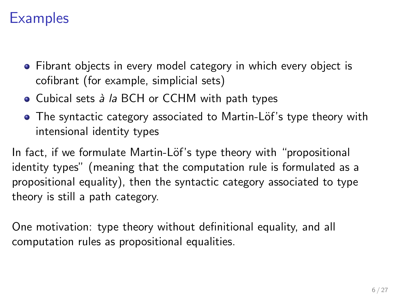## **Examples**

- Fibrant objects in every model category in which every object is cofibrant (for example, simplicial sets)
- $\bullet$  Cubical sets  $\dot{a}$  la BCH or CCHM with path types
- The syntactic category associated to Martin-Löf's type theory with intensional identity types

In fact, if we formulate Martin-Löf's type theory with "propositional identity types" (meaning that the computation rule is formulated as a propositional equality), then the syntactic category associated to type theory is still a path category.

One motivation: type theory without definitional equality, and all computation rules as propositional equalities.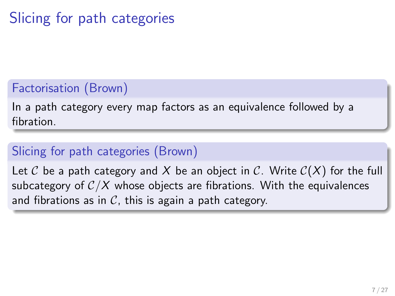# Slicing for path categories

### Factorisation (Brown)

In a path category every map factors as an equivalence followed by a fibration.

### Slicing for path categories (Brown)

Let C be a path category and X be an object in C. Write  $C(X)$  for the full subcategory of  $C/X$  whose objects are fibrations. With the equivalences and fibrations as in  $\mathcal{C}$ , this is again a path category.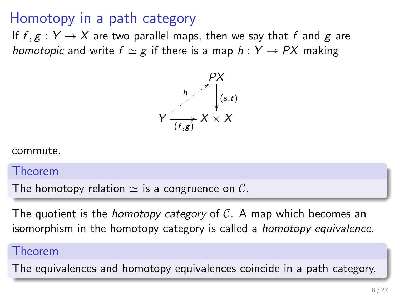## Homotopy in a path category

If  $f, g: Y \to X$  are two parallel maps, then we say that f and g are homotopic and write  $f \simeq g$  if there is a map  $h : Y \rightarrow PX$  making



commute.

#### Theorem

The homotopy relation  $\simeq$  is a congruence on C.

The quotient is the *homotopy category* of  $\mathcal{C}$ . A map which becomes an isomorphism in the homotopy category is called a homotopy equivalence.

#### Theorem

The equivalences and homotopy equivalences coincide in a path category.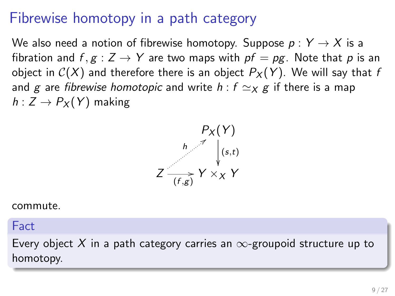## Fibrewise homotopy in a path category

We also need a notion of fibrewise homotopy. Suppose  $p: Y \rightarrow X$  is a fibration and  $f, g: Z \rightarrow Y$  are two maps with  $pf = pg$ . Note that p is an object in  $C(X)$  and therefore there is an object  $P_X(Y)$ . We will say that f and g are fibrewise homotopic and write  $h : f \simeq_X g$  if there is a map  $h: Z \to P_X(Y)$  making



commute.

#### Fact

Every object X in a path category carries an  $\infty$ -groupoid structure up to homotopy.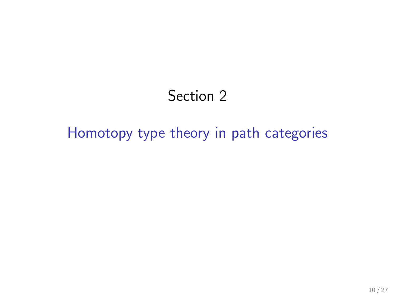## Section 2

## <span id="page-9-0"></span>[Homotopy type theory in path categories](#page-9-0)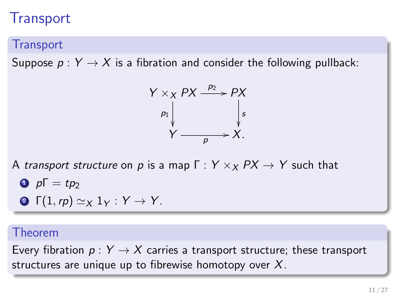## **Transport**

#### **Transport**

Suppose  $p: Y \rightarrow X$  is a fibration and consider the following pullback:



A transport structure on p is a map  $\Gamma: Y \times_X PX \to Y$  such that

$$
\bullet \ \ p\Gamma = tp_2
$$

$$
\bullet \ \Gamma(1, rp) \simeq_X 1_Y : Y \to Y.
$$

#### Theorem

Every fibration  $p: Y \rightarrow X$  carries a transport structure; these transport structures are unique up to fibrewise homotopy over  $X$ .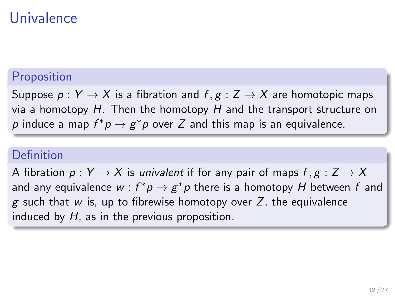## Univalence

### Proposition

Suppose  $p: Y \to X$  is a fibration and  $f, g: Z \to X$  are homotopic maps via a homotopy  $H$ . Then the homotopy  $H$  and the transport structure on  $p$  induce a map  $f^*p \to g^*p$  over  $Z$  and this map is an equivalence.

#### Definition

A fibration  $p: Y \to X$  is *univalent* if for any pair of maps  $f, g: Z \to X$ and any equivalence  $w : f^* p \to g^* p$  there is a homotopy  $H$  between  $f$  and g such that w is, up to fibrewise homotopy over Z, the equivalence induced by  $H$ , as in the previous proposition.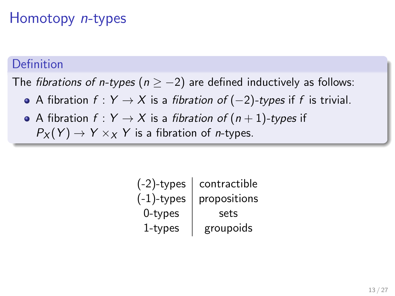## Homotopy n-types

#### Definition

The fibrations of n-types ( $n \ge -2$ ) are defined inductively as follows:

- A fibration  $f: Y \to X$  is a fibration of  $(-2)$ -types if f is trivial.
- A fibration  $f: Y \to X$  is a fibration of  $(n + 1)$ -types if  $P_X(Y) \to Y \times_X Y$  is a fibration of *n*-types.

| $(-2)$ -types | contractible |
|---------------|--------------|
| $(-1)$ -types | propositions |
| 0-types       | sets         |
| 1-types       | groupoids    |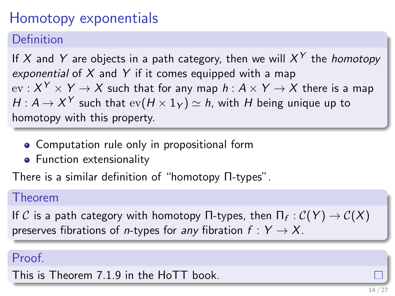# Homotopy exponentials

Definition

If  $X$  and  $Y$  are objects in a path category, then we will  $X^Y$  the *homotopy* exponential of X and Y if it comes equipped with a map  $\mathrm{ev}: X^Y \times Y \to X$  such that for any map  $h: A \times Y \to X$  there is a map  $H: \mathcal{A} \rightarrow X^{\mathcal{Y}}$  such that  $\mathrm{ev}(H \times 1_{\mathcal{Y}}) \simeq h$ , with  $H$  being unique up to homotopy with this property.

- **Computation rule only in propositional form**
- **•** Function extensionality

There is a similar definition of "homotopy Π-types".

#### Theorem

If  $\mathcal C$  is a path category with homotopy  $\Pi$ -types, then  $\Pi_f:\mathcal C(\mathcal{Y})\rightarrow \mathcal C(X)$ preserves fibrations of *n*-types for any fibration  $f: Y \rightarrow X$ .

### Proof.

This is Theorem 7.1.9 in the HoTT book.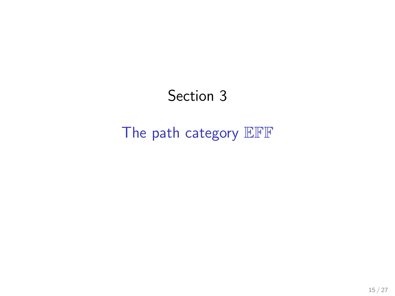# Section 3

## <span id="page-14-0"></span>[The path category](#page-14-0) EFF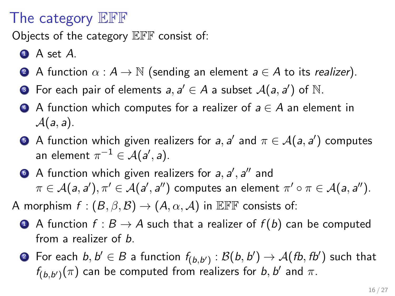## The category EFF

Objects of the category EFF consist of:

- $\bullet$  A set A.
- **2** A function  $\alpha : A \to \mathbb{N}$  (sending an element  $a \in A$  to its *realizer*).
- **3** For each pair of elements  $a, a' \in A$  a subset  $A(a, a')$  of  $\mathbb N$ .
- $\bullet$  A function which computes for a realizer of  $a \in A$  an element in  $\mathcal{A}(a, a)$ .
- **•** A function which given realizers for a, a' and  $\pi \in \mathcal{A}(a, a')$  computes an element  $\pi^{-1}\in\mathcal{A}(a',a).$
- $\bullet$  A function which given realizers for a, a', a'' and  $\pi \in \mathcal{A}(a,a'), \pi' \in \mathcal{A}(a',a'')$  computes an element  $\pi' \circ \pi \in \mathcal{A}(a,a'').$

A morphism  $f : (B, \beta, \mathcal{B}) \to (A, \alpha, \mathcal{A})$  in EFF consists of:

- **4** A function  $f : B \to A$  such that a realizer of  $f(b)$  can be computed from a realizer of *b*.
- $\bullet$  For each  $b,b'\in B$  a function  $f_{(b,b')}:\mathcal{B}(b,b')\to \mathcal{A}(\mathit{fb},\mathit{fb'})$  such that  $f_{(b,b')}(\pi)$  can be computed from realizers for b, b' and  $\pi$ .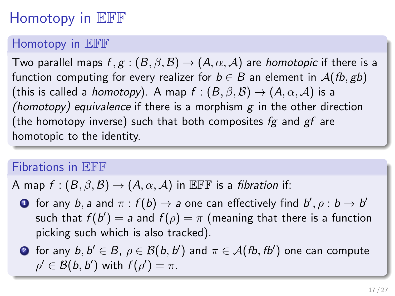# Homotopy in EFF

### Homotopy in EFF

Two parallel maps  $f, g : (B, \beta, \mathcal{B}) \to (A, \alpha, \mathcal{A})$  are homotopic if there is a function computing for every realizer for  $b \in B$  an element in  $\mathcal{A}(fb, gb)$ (this is called a *homotopy*). A map  $f : (B, \beta, \mathcal{B}) \to (A, \alpha, \mathcal{A})$  is a (homotopy) equivalence if there is a morphism  $g$  in the other direction (the homotopy inverse) such that both composites  $fg$  and  $gf$  are homotopic to the identity.

### Fibrations in EFF

A map  $f : (B, \beta, \mathcal{B}) \to (A, \alpha, \mathcal{A})$  in EFF is a fibration if:

 $\bullet$  for any  $b,$  a and  $\pi : f(b) \to a$  one can effectively find  $b', \rho : b \to b'$ such that  $f(b')=a$  and  $f(\rho)=\pi$  (meaning that there is a function picking such which is also tracked).

 $\bullet$  for any  $b,b'\in B, \, \rho\in \mathcal{B}(b,b')$  and  $\pi\in \mathcal{A}(\mathit{fb},\mathit{fb'})$  one can compute  $\rho' \in \mathcal{B}(b, b')$  with  $f(\rho') = \pi$ .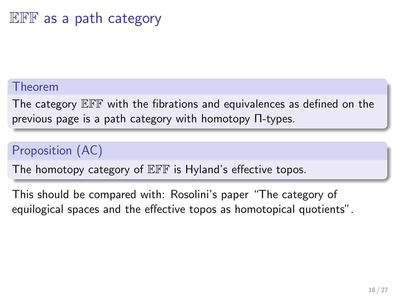## EFF as a path category

#### Theorem

The category EFF with the fibrations and equivalences as defined on the previous page is a path category with homotopy Π-types.

### Proposition (AC)

The homotopy category of  $E\ddot{F}F$  is Hyland's effective topos.

This should be compared with: Rosolini's paper "The category of equilogical spaces and the effective topos as homotopical quotients".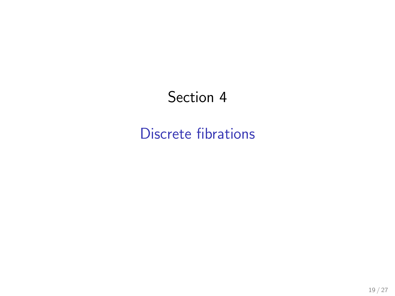## <span id="page-18-0"></span>Section 4

## [Discrete fibrations](#page-18-0)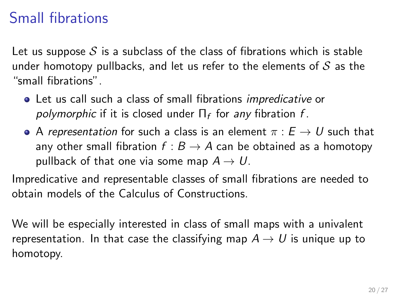# Small fibrations

Let us suppose  $S$  is a subclass of the class of fibrations which is stable under homotopy pullbacks, and let us refer to the elements of  $S$  as the "small fibrations".

- Let us call such a class of small fibrations impredicative or *polymorphic* if it is closed under  $\Pi_f$  for *any* fibration  $f$ .
- A representation for such a class is an element  $\pi : E \to U$  such that any other small fibration  $f : B \to A$  can be obtained as a homotopy pullback of that one via some map  $A \rightarrow U$ .

Impredicative and representable classes of small fibrations are needed to obtain models of the Calculus of Constructions.

We will be especially interested in class of small maps with a univalent representation. In that case the classifying map  $A \rightarrow U$  is unique up to homotopy.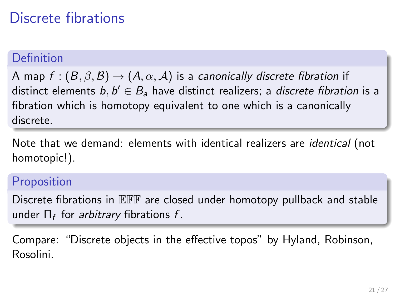## Discrete fibrations

#### Definition

A map  $f : (B, \beta, \mathcal{B}) \to (A, \alpha, \mathcal{A})$  is a canonically discrete fibration if distinct elements  $b,b'\in B$ a have distinct realizers; a *discrete fibration* is a fibration which is homotopy equivalent to one which is a canonically discrete.

Note that we demand: elements with identical realizers are identical (not homotopic!).

#### **Proposition**

Discrete fibrations in EFF are closed under homotopy pullback and stable under  $\Pi_f$  for *arbitrary* fibrations  $f$ .

Compare: "Discrete objects in the effective topos" by Hyland, Robinson, Rosolini.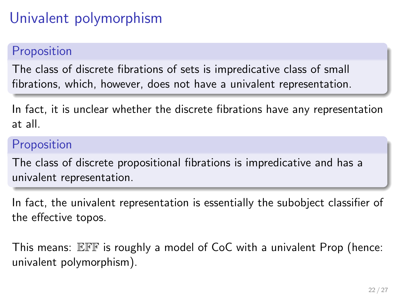# Univalent polymorphism

### **Proposition**

The class of discrete fibrations of sets is impredicative class of small fibrations, which, however, does not have a univalent representation.

In fact, it is unclear whether the discrete fibrations have any representation at all.

### Proposition

The class of discrete propositional fibrations is impredicative and has a univalent representation.

In fact, the univalent representation is essentially the subobject classifier of the effective topos.

This means: EFF is roughly a model of CoC with a univalent Prop (hence: univalent polymorphism).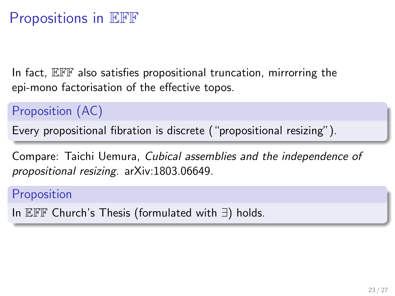## Propositions in EFF

In fact, EFF also satisfies propositional truncation, mirrorring the epi-mono factorisation of the effective topos.

Proposition (AC)

Every propositional fibration is discrete ("propositional resizing").

Compare: Taichi Uemura, Cubical assemblies and the independence of propositional resizing. arXiv:1803.06649.

Proposition

In EFF Church's Thesis (formulated with ∃) holds.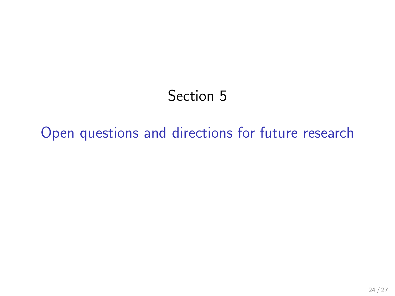# Section 5

# <span id="page-23-0"></span>[Open questions and directions for future research](#page-23-0)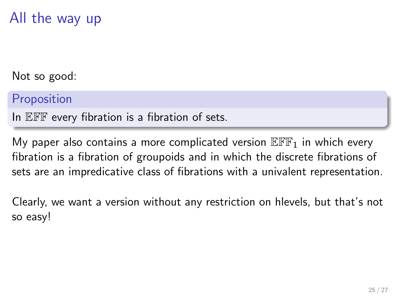## All the way up

Not so good:

Proposition

In EFF every fibration is a fibration of sets.

My paper also contains a more complicated version  $\mathbb{E} \mathbb{F}_{1}$  in which every fibration is a fibration of groupoids and in which the discrete fibrations of sets are an impredicative class of fibrations with a univalent representation.

Clearly, we want a version without any restriction on hlevels, but that's not so easy!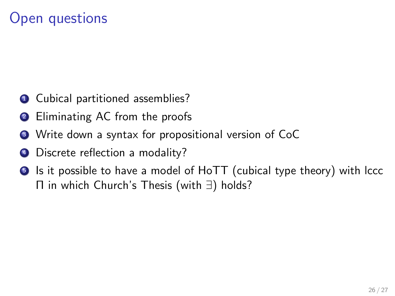## Open questions

- **1** Cubical partitioned assemblies?
- 2 Eliminating AC from the proofs
- <sup>3</sup> Write down a syntax for propositional version of CoC
- 4 Discrete reflection a modality?
- **•** Is it possible to have a model of HoTT (cubical type theory) with lccc Π in which Church's Thesis (with ∃) holds?